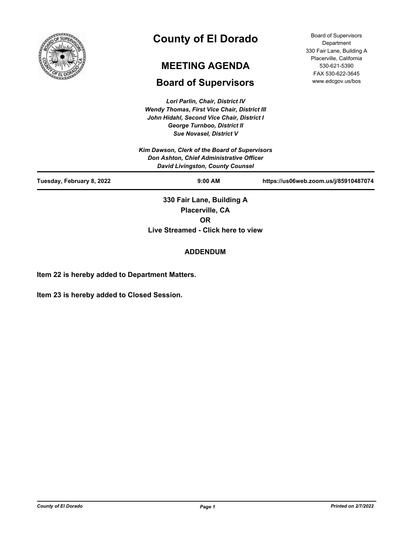

# **County of El Dorado**

# **MEETING AGENDA**

# **Board of Supervisors**

*Lori Parlin, Chair, District IV Wendy Thomas, First Vice Chair, District III John Hidahl, Second Vice Chair, District I George Turnboo, District II*

*Sue Novasel, District V Kim Dawson, Clerk of the Board of Supervisors Don Ashton, Chief Administrative Officer David Livingston, County Counsel* **Tuesday, February 8, 2022 9:00 AM https://us06web.zoom.us/j/85910487074 330 Fair Lane, Building A Placerville, CA** 

**OR**

**Live Streamed - Click here to view**

## **ADDENDUM**

**Item 22 is hereby added to Department Matters.**

**Item 23 is hereby added to Closed Session.**

Board of Supervisors **Department** 330 Fair Lane, Building A Placerville, California 530-621-5390 FAX 530-622-3645 www.edcgov.us/bos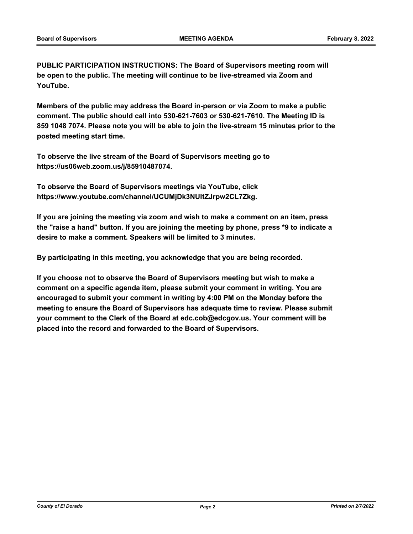**PUBLIC PARTICIPATION INSTRUCTIONS: The Board of Supervisors meeting room will be open to the public. The meeting will continue to be live-streamed via Zoom and YouTube.**

**Members of the public may address the Board in-person or via Zoom to make a public comment. The public should call into 530-621-7603 or 530-621-7610. The Meeting ID is 859 1048 7074. Please note you will be able to join the live-stream 15 minutes prior to the posted meeting start time.**

**To observe the live stream of the Board of Supervisors meeting go to https://us06web.zoom.us/j/85910487074.**

**To observe the Board of Supervisors meetings via YouTube, click https://www.youtube.com/channel/UCUMjDk3NUltZJrpw2CL7Zkg.**

**If you are joining the meeting via zoom and wish to make a comment on an item, press the "raise a hand" button. If you are joining the meeting by phone, press \*9 to indicate a desire to make a comment. Speakers will be limited to 3 minutes.**

**By participating in this meeting, you acknowledge that you are being recorded.**

**If you choose not to observe the Board of Supervisors meeting but wish to make a comment on a specific agenda item, please submit your comment in writing. You are encouraged to submit your comment in writing by 4:00 PM on the Monday before the meeting to ensure the Board of Supervisors has adequate time to review. Please submit your comment to the Clerk of the Board at edc.cob@edcgov.us. Your comment will be placed into the record and forwarded to the Board of Supervisors.**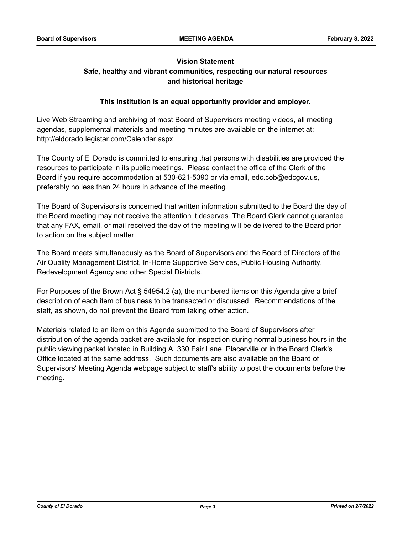## **Vision Statement Safe, healthy and vibrant communities, respecting our natural resources and historical heritage**

## **This institution is an equal opportunity provider and employer.**

Live Web Streaming and archiving of most Board of Supervisors meeting videos, all meeting agendas, supplemental materials and meeting minutes are available on the internet at: http://eldorado.legistar.com/Calendar.aspx

The County of El Dorado is committed to ensuring that persons with disabilities are provided the resources to participate in its public meetings. Please contact the office of the Clerk of the Board if you require accommodation at 530-621-5390 or via email, edc.cob@edcgov.us, preferably no less than 24 hours in advance of the meeting.

The Board of Supervisors is concerned that written information submitted to the Board the day of the Board meeting may not receive the attention it deserves. The Board Clerk cannot guarantee that any FAX, email, or mail received the day of the meeting will be delivered to the Board prior to action on the subject matter.

The Board meets simultaneously as the Board of Supervisors and the Board of Directors of the Air Quality Management District, In-Home Supportive Services, Public Housing Authority, Redevelopment Agency and other Special Districts.

For Purposes of the Brown Act § 54954.2 (a), the numbered items on this Agenda give a brief description of each item of business to be transacted or discussed. Recommendations of the staff, as shown, do not prevent the Board from taking other action.

Materials related to an item on this Agenda submitted to the Board of Supervisors after distribution of the agenda packet are available for inspection during normal business hours in the public viewing packet located in Building A, 330 Fair Lane, Placerville or in the Board Clerk's Office located at the same address. Such documents are also available on the Board of Supervisors' Meeting Agenda webpage subject to staff's ability to post the documents before the meeting.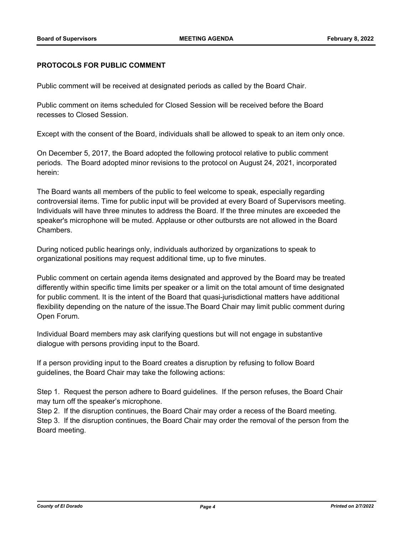## **PROTOCOLS FOR PUBLIC COMMENT**

Public comment will be received at designated periods as called by the Board Chair.

Public comment on items scheduled for Closed Session will be received before the Board recesses to Closed Session.

Except with the consent of the Board, individuals shall be allowed to speak to an item only once.

On December 5, 2017, the Board adopted the following protocol relative to public comment periods. The Board adopted minor revisions to the protocol on August 24, 2021, incorporated herein:

The Board wants all members of the public to feel welcome to speak, especially regarding controversial items. Time for public input will be provided at every Board of Supervisors meeting. Individuals will have three minutes to address the Board. If the three minutes are exceeded the speaker's microphone will be muted. Applause or other outbursts are not allowed in the Board Chambers.

During noticed public hearings only, individuals authorized by organizations to speak to organizational positions may request additional time, up to five minutes.

Public comment on certain agenda items designated and approved by the Board may be treated differently within specific time limits per speaker or a limit on the total amount of time designated for public comment. It is the intent of the Board that quasi-jurisdictional matters have additional flexibility depending on the nature of the issue.The Board Chair may limit public comment during Open Forum.

Individual Board members may ask clarifying questions but will not engage in substantive dialogue with persons providing input to the Board.

If a person providing input to the Board creates a disruption by refusing to follow Board guidelines, the Board Chair may take the following actions:

Step 1. Request the person adhere to Board guidelines. If the person refuses, the Board Chair may turn off the speaker's microphone.

Step 2. If the disruption continues, the Board Chair may order a recess of the Board meeting. Step 3. If the disruption continues, the Board Chair may order the removal of the person from the Board meeting.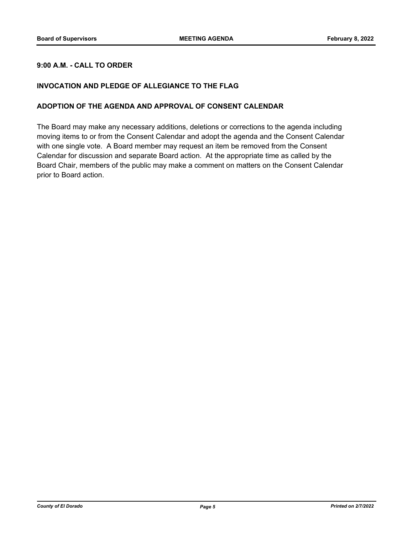## **9:00 A.M. - CALL TO ORDER**

## **INVOCATION AND PLEDGE OF ALLEGIANCE TO THE FLAG**

## **ADOPTION OF THE AGENDA AND APPROVAL OF CONSENT CALENDAR**

The Board may make any necessary additions, deletions or corrections to the agenda including moving items to or from the Consent Calendar and adopt the agenda and the Consent Calendar with one single vote. A Board member may request an item be removed from the Consent Calendar for discussion and separate Board action. At the appropriate time as called by the Board Chair, members of the public may make a comment on matters on the Consent Calendar prior to Board action.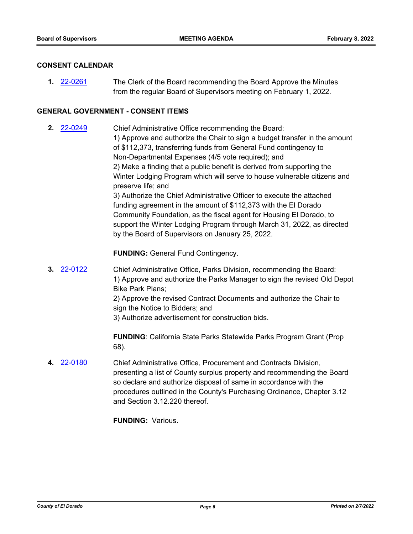## **CONSENT CALENDAR**

**1.** [22-0261](http://eldorado.legistar.com/gateway.aspx?m=l&id=/matter.aspx?key=31162) The Clerk of the Board recommending the Board Approve the Minutes from the regular Board of Supervisors meeting on February 1, 2022.

## **GENERAL GOVERNMENT - CONSENT ITEMS**

**2.** [22-0249](http://eldorado.legistar.com/gateway.aspx?m=l&id=/matter.aspx?key=31150) Chief Administrative Office recommending the Board: 1) Approve and authorize the Chair to sign a budget transfer in the amount of \$112,373, transferring funds from General Fund contingency to Non-Departmental Expenses (4/5 vote required); and 2) Make a finding that a public benefit is derived from supporting the Winter Lodging Program which will serve to house vulnerable citizens and preserve life; and 3) Authorize the Chief Administrative Officer to execute the attached funding agreement in the amount of \$112,373 with the El Dorado Community Foundation, as the fiscal agent for Housing El Dorado, to support the Winter Lodging Program through March 31, 2022, as directed by the Board of Supervisors on January 25, 2022.

**FUNDING:** General Fund Contingency.

**3.** [22-0122](http://eldorado.legistar.com/gateway.aspx?m=l&id=/matter.aspx?key=31023) Chief Administrative Office, Parks Division, recommending the Board: 1) Approve and authorize the Parks Manager to sign the revised Old Depot Bike Park Plans; 2) Approve the revised Contract Documents and authorize the Chair to sign the Notice to Bidders; and 3) Authorize advertisement for construction bids.

> **FUNDING**: California State Parks Statewide Parks Program Grant (Prop 68).

**4.** [22-0180](http://eldorado.legistar.com/gateway.aspx?m=l&id=/matter.aspx?key=31081) Chief Administrative Office, Procurement and Contracts Division, presenting a list of County surplus property and recommending the Board so declare and authorize disposal of same in accordance with the procedures outlined in the County's Purchasing Ordinance, Chapter 3.12 and Section 3.12.220 thereof.

**FUNDING:** Various.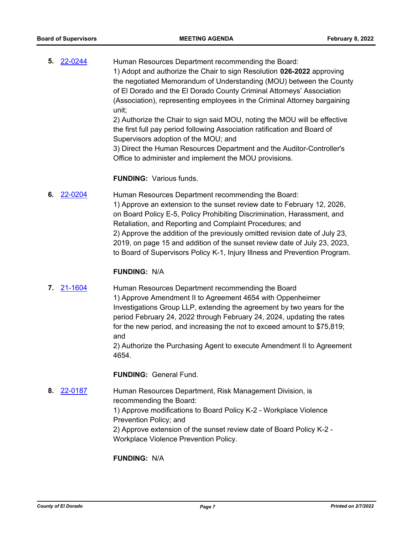**5.** [22-0244](http://eldorado.legistar.com/gateway.aspx?m=l&id=/matter.aspx?key=31145) Human Resources Department recommending the Board: 1) Adopt and authorize the Chair to sign Resolution **026-2022** approving the negotiated Memorandum of Understanding (MOU) between the County of El Dorado and the El Dorado County Criminal Attorneys' Association (Association), representing employees in the Criminal Attorney bargaining unit; 2) Authorize the Chair to sign said MOU, noting the MOU will be effective the first full pay period following Association ratification and Board of Supervisors adoption of the MOU; and

> 3) Direct the Human Resources Department and the Auditor-Controller's Office to administer and implement the MOU provisions.

#### **FUNDING:** Various funds.

**6.** [22-0204](http://eldorado.legistar.com/gateway.aspx?m=l&id=/matter.aspx?key=31105) Human Resources Department recommending the Board: 1) Approve an extension to the sunset review date to February 12, 2026, on Board Policy E-5, Policy Prohibiting Discrimination, Harassment, and Retaliation, and Reporting and Complaint Procedures; and 2) Approve the addition of the previously omitted revision date of July 23, 2019, on page 15 and addition of the sunset review date of July 23, 2023, to Board of Supervisors Policy K-1, Injury Illness and Prevention Program.

#### **FUNDING:** N/A

**7.** [21-1604](http://eldorado.legistar.com/gateway.aspx?m=l&id=/matter.aspx?key=30499) Human Resources Department recommending the Board 1) Approve Amendment II to Agreement 4654 with Oppenheimer Investigations Group LLP, extending the agreement by two years for the period February 24, 2022 through February 24, 2024, updating the rates for the new period, and increasing the not to exceed amount to \$75,819; and

> 2) Authorize the Purchasing Agent to execute Amendment II to Agreement 4654.

**FUNDING:** General Fund.

**8.** [22-0187](http://eldorado.legistar.com/gateway.aspx?m=l&id=/matter.aspx?key=31088) Human Resources Department, Risk Management Division, is recommending the Board: 1) Approve modifications to Board Policy K-2 - Workplace Violence Prevention Policy; and 2) Approve extension of the sunset review date of Board Policy K-2 - Workplace Violence Prevention Policy.

**FUNDING:** N/A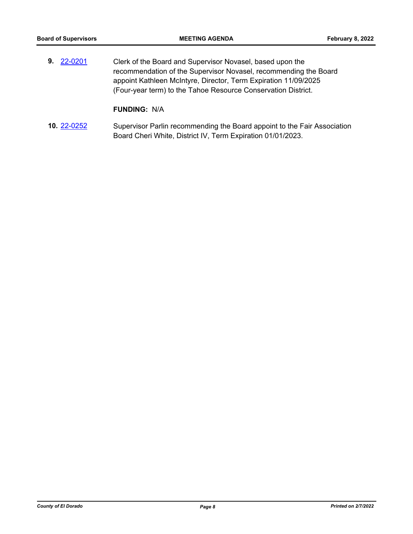**9.** [22-0201](http://eldorado.legistar.com/gateway.aspx?m=l&id=/matter.aspx?key=31102) Clerk of the Board and Supervisor Novasel, based upon the recommendation of the Supervisor Novasel, recommending the Board appoint Kathleen McIntyre, Director, Term Expiration 11/09/2025 (Four-year term) to the Tahoe Resource Conservation District.

## **FUNDING:** N/A

**10.** [22-0252](http://eldorado.legistar.com/gateway.aspx?m=l&id=/matter.aspx?key=31153) Supervisor Parlin recommending the Board appoint to the Fair Association Board Cheri White, District IV, Term Expiration 01/01/2023.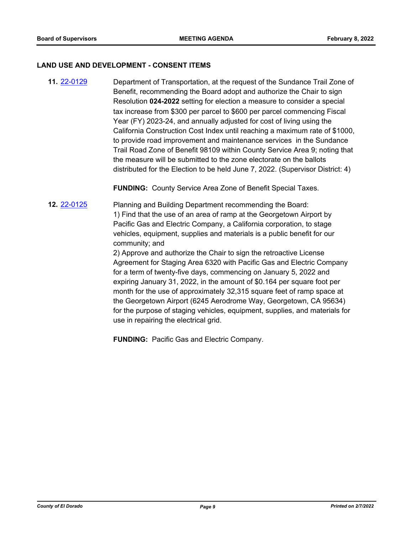#### **LAND USE AND DEVELOPMENT - CONSENT ITEMS**

**11.** [22-0129](http://eldorado.legistar.com/gateway.aspx?m=l&id=/matter.aspx?key=31030) Department of Transportation, at the request of the Sundance Trail Zone of Benefit, recommending the Board adopt and authorize the Chair to sign Resolution **024-2022** setting for election a measure to consider a special tax increase from \$300 per parcel to \$600 per parcel commencing Fiscal Year (FY) 2023-24, and annually adjusted for cost of living using the California Construction Cost Index until reaching a maximum rate of \$1000, to provide road improvement and maintenance services in the Sundance Trail Road Zone of Benefit 98109 within County Service Area 9; noting that the measure will be submitted to the zone electorate on the ballots distributed for the Election to be held June 7, 2022. (Supervisor District: 4)

**FUNDING:** County Service Area Zone of Benefit Special Taxes.

**12.** [22-0125](http://eldorado.legistar.com/gateway.aspx?m=l&id=/matter.aspx?key=31026) Planning and Building Department recommending the Board: 1) Find that the use of an area of ramp at the Georgetown Airport by Pacific Gas and Electric Company, a California corporation, to stage vehicles, equipment, supplies and materials is a public benefit for our community; and

> 2) Approve and authorize the Chair to sign the retroactive License Agreement for Staging Area 6320 with Pacific Gas and Electric Company for a term of twenty-five days, commencing on January 5, 2022 and expiring January 31, 2022, in the amount of \$0.164 per square foot per month for the use of approximately 32,315 square feet of ramp space at the Georgetown Airport (6245 Aerodrome Way, Georgetown, CA 95634) for the purpose of staging vehicles, equipment, supplies, and materials for use in repairing the electrical grid.

**FUNDING:** Pacific Gas and Electric Company.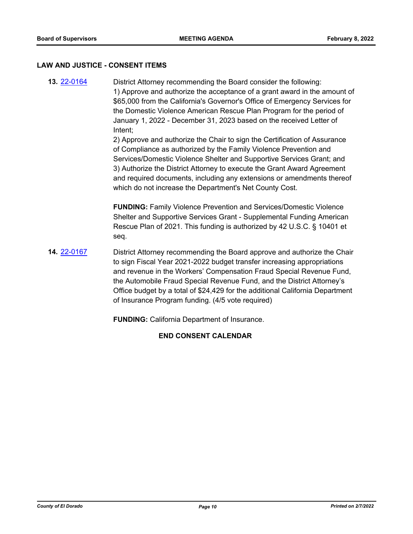#### **LAW AND JUSTICE - CONSENT ITEMS**

**13.** [22-0164](http://eldorado.legistar.com/gateway.aspx?m=l&id=/matter.aspx?key=31065) District Attorney recommending the Board consider the following: 1) Approve and authorize the acceptance of a grant award in the amount of \$65,000 from the California's Governor's Office of Emergency Services for the Domestic Violence American Rescue Plan Program for the period of January 1, 2022 - December 31, 2023 based on the received Letter of Intent;

> 2) Approve and authorize the Chair to sign the Certification of Assurance of Compliance as authorized by the Family Violence Prevention and Services/Domestic Violence Shelter and Supportive Services Grant; and 3) Authorize the District Attorney to execute the Grant Award Agreement and required documents, including any extensions or amendments thereof which do not increase the Department's Net County Cost.

**FUNDING:** Family Violence Prevention and Services/Domestic Violence Shelter and Supportive Services Grant - Supplemental Funding American Rescue Plan of 2021. This funding is authorized by 42 U.S.C. § 10401 et seq.

**14.** [22-0167](http://eldorado.legistar.com/gateway.aspx?m=l&id=/matter.aspx?key=31068) District Attorney recommending the Board approve and authorize the Chair to sign Fiscal Year 2021-2022 budget transfer increasing appropriations and revenue in the Workers' Compensation Fraud Special Revenue Fund, the Automobile Fraud Special Revenue Fund, and the District Attorney's Office budget by a total of \$24,429 for the additional California Department of Insurance Program funding. (4/5 vote required)

**FUNDING:** California Department of Insurance.

## **END CONSENT CALENDAR**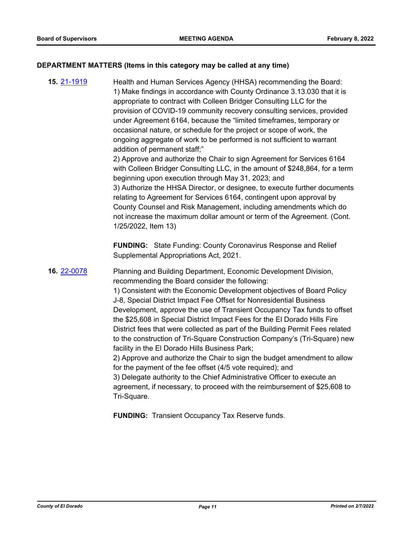## **DEPARTMENT MATTERS (Items in this category may be called at any time)**

**15.** [21-1919](http://eldorado.legistar.com/gateway.aspx?m=l&id=/matter.aspx?key=30815) Health and Human Services Agency (HHSA) recommending the Board: 1) Make findings in accordance with County Ordinance 3.13.030 that it is appropriate to contract with Colleen Bridger Consulting LLC for the provision of COVID-19 community recovery consulting services, provided under Agreement 6164, because the "limited timeframes, temporary or occasional nature, or schedule for the project or scope of work, the ongoing aggregate of work to be performed is not sufficient to warrant addition of permanent staff;" 2) Approve and authorize the Chair to sign Agreement for Services 6164 with Colleen Bridger Consulting LLC, in the amount of \$248,864, for a term beginning upon execution through May 31, 2023; and 3) Authorize the HHSA Director, or designee, to execute further documents relating to Agreement for Services 6164, contingent upon approval by County Counsel and Risk Management, including amendments which do not increase the maximum dollar amount or term of the Agreement. (Cont. 1/25/2022, Item 13) **FUNDING:** State Funding: County Coronavirus Response and Relief Supplemental Appropriations Act, 2021. **16.** [22-0078](http://eldorado.legistar.com/gateway.aspx?m=l&id=/matter.aspx?key=30978) Planning and Building Department, Economic Development Division, recommending the Board consider the following: 1) Consistent with the Economic Development objectives of Board Policy J-8, Special District Impact Fee Offset for Nonresidential Business Development, approve the use of Transient Occupancy Tax funds to offset the \$25,608 in Special District Impact Fees for the El Dorado Hills Fire District fees that were collected as part of the Building Permit Fees related to the construction of Tri-Square Construction Company's (Tri-Square) new facility in the El Dorado Hills Business Park; 2) Approve and authorize the Chair to sign the budget amendment to allow for the payment of the fee offset (4/5 vote required); and 3) Delegate authority to the Chief Administrative Officer to execute an agreement, if necessary, to proceed with the reimbursement of \$25,608 to Tri-Square.

**FUNDING:** Transient Occupancy Tax Reserve funds.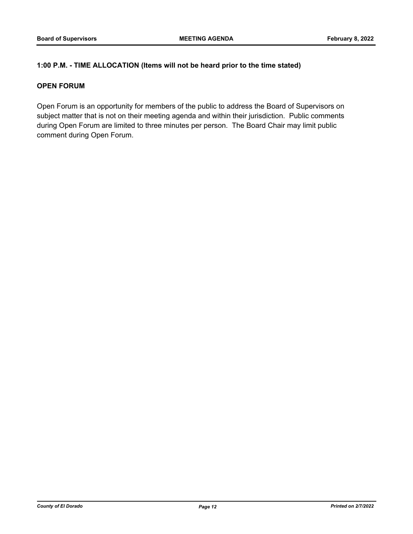## **1:00 P.M. - TIME ALLOCATION (Items will not be heard prior to the time stated)**

## **OPEN FORUM**

Open Forum is an opportunity for members of the public to address the Board of Supervisors on subject matter that is not on their meeting agenda and within their jurisdiction. Public comments during Open Forum are limited to three minutes per person. The Board Chair may limit public comment during Open Forum.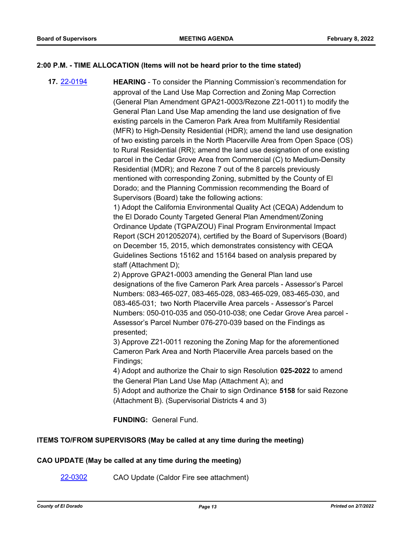## **2:00 P.M. - TIME ALLOCATION (Items will not be heard prior to the time stated)**

**17.** [22-0194](http://eldorado.legistar.com/gateway.aspx?m=l&id=/matter.aspx?key=31095) **HEARING** - To consider the Planning Commission's recommendation for approval of the Land Use Map Correction and Zoning Map Correction (General Plan Amendment GPA21-0003/Rezone Z21-0011) to modify the General Plan Land Use Map amending the land use designation of five existing parcels in the Cameron Park Area from Multifamily Residential (MFR) to High-Density Residential (HDR); amend the land use designation of two existing parcels in the North Placerville Area from Open Space (OS) to Rural Residential (RR); amend the land use designation of one existing parcel in the Cedar Grove Area from Commercial (C) to Medium-Density Residential (MDR); and Rezone 7 out of the 8 parcels previously mentioned with corresponding Zoning, submitted by the County of El Dorado; and the Planning Commission recommending the Board of Supervisors (Board) take the following actions:

1) Adopt the California Environmental Quality Act (CEQA) Addendum to the El Dorado County Targeted General Plan Amendment/Zoning Ordinance Update (TGPA/ZOU) Final Program Environmental Impact Report (SCH 2012052074), certified by the Board of Supervisors (Board) on December 15, 2015, which demonstrates consistency with CEQA Guidelines Sections 15162 and 15164 based on analysis prepared by staff (Attachment D);

2) Approve GPA21-0003 amending the General Plan land use designations of the five Cameron Park Area parcels - Assessor's Parcel Numbers: 083-465-027, 083-465-028, 083-465-029, 083-465-030, and 083-465-031; two North Placerville Area parcels - Assessor's Parcel Numbers: 050-010-035 and 050-010-038; one Cedar Grove Area parcel - Assessor's Parcel Number 076-270-039 based on the Findings as presented;

3) Approve Z21-0011 rezoning the Zoning Map for the aforementioned Cameron Park Area and North Placerville Area parcels based on the Findings;

4) Adopt and authorize the Chair to sign Resolution **025-2022** to amend the General Plan Land Use Map (Attachment A); and

5) Adopt and authorize the Chair to sign Ordinance **5158** for said Rezone (Attachment B). (Supervisorial Districts 4 and 3)

**FUNDING:** General Fund.

## **ITEMS TO/FROM SUPERVISORS (May be called at any time during the meeting)**

## **CAO UPDATE (May be called at any time during the meeting)**

[22-0302](http://eldorado.legistar.com/gateway.aspx?m=l&id=/matter.aspx?key=31203) CAO Update (Caldor Fire see attachment)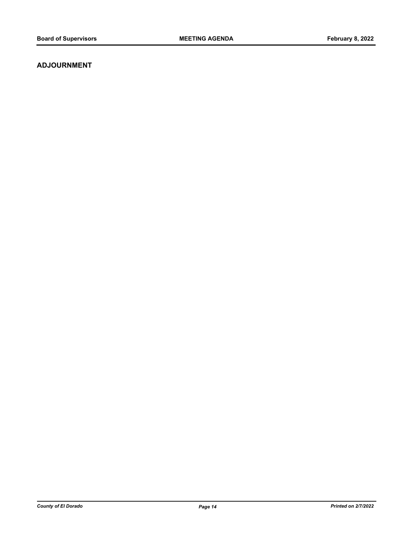## **ADJOURNMENT**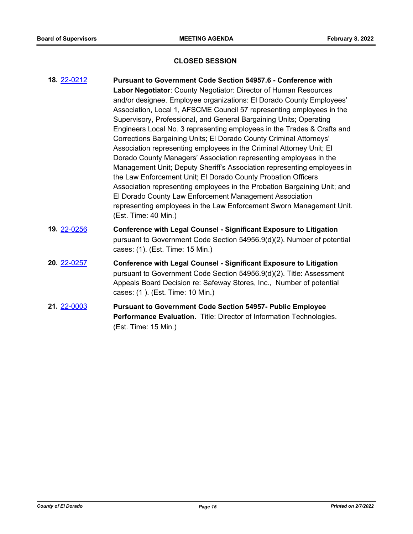## **CLOSED SESSION**

| 18. 22-0212 | <b>Pursuant to Government Code Section 54957.6 - Conference with</b><br>Labor Negotiator: County Negotiator: Director of Human Resources<br>and/or designee. Employee organizations: El Dorado County Employees'<br>Association, Local 1, AFSCME Council 57 representing employees in the<br>Supervisory, Professional, and General Bargaining Units; Operating<br>Engineers Local No. 3 representing employees in the Trades & Crafts and<br>Corrections Bargaining Units; El Dorado County Criminal Attorneys'<br>Association representing employees in the Criminal Attorney Unit; El<br>Dorado County Managers' Association representing employees in the<br>Management Unit; Deputy Sheriff's Association representing employees in<br>the Law Enforcement Unit; El Dorado County Probation Officers<br>Association representing employees in the Probation Bargaining Unit; and<br>El Dorado County Law Enforcement Management Association<br>representing employees in the Law Enforcement Sworn Management Unit.<br>(Est. Time: 40 Min.) |
|-------------|--------------------------------------------------------------------------------------------------------------------------------------------------------------------------------------------------------------------------------------------------------------------------------------------------------------------------------------------------------------------------------------------------------------------------------------------------------------------------------------------------------------------------------------------------------------------------------------------------------------------------------------------------------------------------------------------------------------------------------------------------------------------------------------------------------------------------------------------------------------------------------------------------------------------------------------------------------------------------------------------------------------------------------------------------|
| 19. 22-0256 | <b>Conference with Legal Counsel - Significant Exposure to Litigation</b><br>pursuant to Government Code Section 54956.9(d)(2). Number of potential<br>cases: (1). (Est. Time: 15 Min.)                                                                                                                                                                                                                                                                                                                                                                                                                                                                                                                                                                                                                                                                                                                                                                                                                                                          |
| 20. 22-0257 | <b>Conference with Legal Counsel - Significant Exposure to Litigation</b><br>pursuant to Government Code Section 54956.9(d)(2). Title: Assessment<br>Appeals Board Decision re: Safeway Stores, Inc., Number of potential<br>cases: (1). (Est. Time: 10 Min.)                                                                                                                                                                                                                                                                                                                                                                                                                                                                                                                                                                                                                                                                                                                                                                                    |
| 21. 22-0003 | <b>Pursuant to Government Code Section 54957- Public Employee</b><br>Performance Evaluation. Title: Director of Information Technologies.<br>(Est. Time: 15 Min.)                                                                                                                                                                                                                                                                                                                                                                                                                                                                                                                                                                                                                                                                                                                                                                                                                                                                                |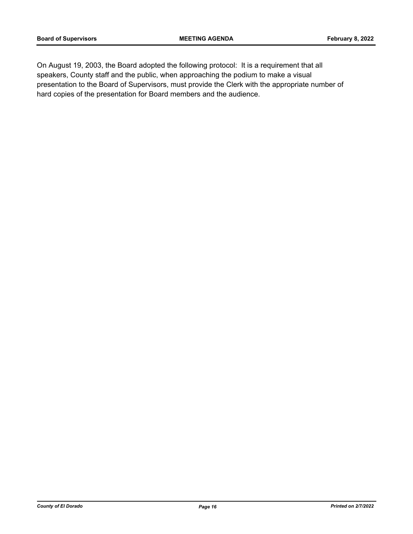On August 19, 2003, the Board adopted the following protocol: It is a requirement that all speakers, County staff and the public, when approaching the podium to make a visual presentation to the Board of Supervisors, must provide the Clerk with the appropriate number of hard copies of the presentation for Board members and the audience.